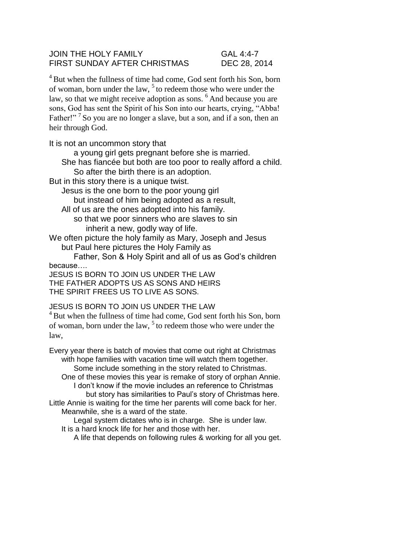## JOIN THE HOLY FAMILY GAL 4:4-7 FIRST SUNDAY AFTER CHRISTMAS DEC 28, 2014

 $4B$ ut when the fullness of time had come, God sent forth his Son, born of woman, born under the law,  $5$  to redeem those who were under the law, so that we might receive adoption as sons. <sup>6</sup>And because you are sons, God has sent the Spirit of his Son into our hearts, crying, "Abba! Father!"<sup>7</sup> So you are no longer a slave, but a son, and if a son, then an heir through God.

It is not an uncommon story that

a young girl gets pregnant before she is married.

She has fiancée but both are too poor to really afford a child.

So after the birth there is an adoption.

But in this story there is a unique twist.

Jesus is the one born to the poor young girl but instead of him being adopted as a result,

All of us are the ones adopted into his family.

so that we poor sinners who are slaves to sin inherit a new, godly way of life.

We often picture the holy family as Mary, Joseph and Jesus but Paul here pictures the Holy Family as

Father, Son & Holy Spirit and all of us as God's children because….

JESUS IS BORN TO JOIN US UNDER THE LAW THE FATHER ADOPTS US AS SONS AND HEIRS THE SPIRIT FREES US TO LIVE AS SONS.

## JESUS IS BORN TO JOIN US UNDER THE LAW

<sup>4</sup> But when the fullness of time had come, God sent forth his Son, born of woman, born under the law, <sup>5</sup> to redeem those who were under the law,

Every year there is batch of movies that come out right at Christmas with hope families with vacation time will watch them together. Some include something in the story related to Christmas. One of these movies this year is remake of story of orphan Annie.

I don't know if the movie includes an reference to Christmas but story has similarities to Paul's story of Christmas here. Little Annie is waiting for the time her parents will come back for her.

Meanwhile, she is a ward of the state.

Legal system dictates who is in charge. She is under law. It is a hard knock life for her and those with her.

A life that depends on following rules & working for all you get.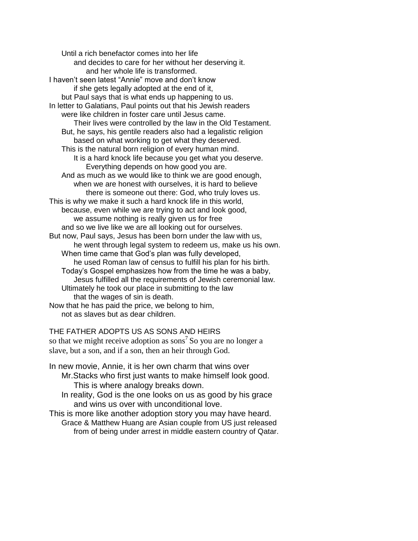Until a rich benefactor comes into her life and decides to care for her without her deserving it. and her whole life is transformed. I haven't seen latest "Annie" move and don't know if she gets legally adopted at the end of it, but Paul says that is what ends up happening to us. In letter to Galatians, Paul points out that his Jewish readers were like children in foster care until Jesus came. Their lives were controlled by the law in the Old Testament. But, he says, his gentile readers also had a legalistic religion based on what working to get what they deserved. This is the natural born religion of every human mind. It is a hard knock life because you get what you deserve. Everything depends on how good you are. And as much as we would like to think we are good enough, when we are honest with ourselves, it is hard to believe there is someone out there: God, who truly loves us. This is why we make it such a hard knock life in this world, because, even while we are trying to act and look good, we assume nothing is really given us for free and so we live like we are all looking out for ourselves. But now, Paul says, Jesus has been born under the law with us, he went through legal system to redeem us, make us his own. When time came that God's plan was fully developed, he used Roman law of census to fulfill his plan for his birth. Today's Gospel emphasizes how from the time he was a baby, Jesus fulfilled all the requirements of Jewish ceremonial law. Ultimately he took our place in submitting to the law that the wages of sin is death. Now that he has paid the price, we belong to him, not as slaves but as dear children.

THE FATHER ADOPTS US AS SONS AND HEIRS

so that we might receive adoption as sons<sup>7</sup> So you are no longer a slave, but a son, and if a son, then an heir through God.

- In new movie, Annie, it is her own charm that wins over Mr.Stacks who first just wants to make himself look good. This is where analogy breaks down.
	- In reality, God is the one looks on us as good by his grace and wins us over with unconditional love.
- This is more like another adoption story you may have heard. Grace & Matthew Huang are Asian couple from US just released from of being under arrest in middle eastern country of Qatar.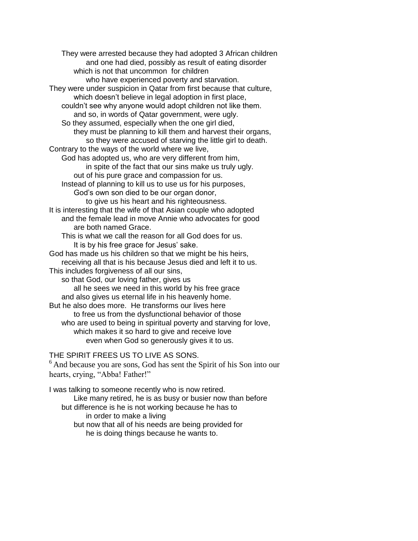They were arrested because they had adopted 3 African children and one had died, possibly as result of eating disorder which is not that uncommon for children who have experienced poverty and starvation. They were under suspicion in Qatar from first because that culture, which doesn't believe in legal adoption in first place, couldn't see why anyone would adopt children not like them. and so, in words of Qatar government, were ugly. So they assumed, especially when the one girl died, they must be planning to kill them and harvest their organs, so they were accused of starving the little girl to death. Contrary to the ways of the world where we live, God has adopted us, who are very different from him, in spite of the fact that our sins make us truly ugly. out of his pure grace and compassion for us. Instead of planning to kill us to use us for his purposes, God's own son died to be our organ donor, to give us his heart and his righteousness. It is interesting that the wife of that Asian couple who adopted and the female lead in move Annie who advocates for good are both named Grace. This is what we call the reason for all God does for us. It is by his free grace for Jesus' sake. God has made us his children so that we might be his heirs, receiving all that is his because Jesus died and left it to us. This includes forgiveness of all our sins, so that God, our loving father, gives us all he sees we need in this world by his free grace and also gives us eternal life in his heavenly home. But he also does more. He transforms our lives here to free us from the dysfunctional behavior of those who are used to being in spiritual poverty and starving for love, which makes it so hard to give and receive love even when God so generously gives it to us.

THE SPIRIT FREES US TO LIVE AS SONS.

 $<sup>6</sup>$  And because you are sons, God has sent the Spirit of his Son into our</sup> hearts, crying, "Abba! Father!"

I was talking to someone recently who is now retired. Like many retired, he is as busy or busier now than before but difference is he is not working because he has to in order to make a living but now that all of his needs are being provided for he is doing things because he wants to.